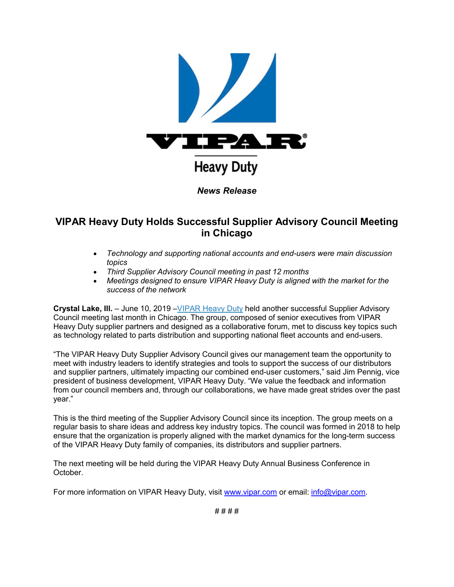

## **VIPAR Heavy Duty Holds Successful Supplier Advisory Council Meeting in Chicago**

- *Technology and supporting national accounts and end-users were main discussion topics*
- *Third Supplier Advisory Council meeting in past 12 months*
- *Meetings designed to ensure VIPAR Heavy Duty is aligned with the market for the success of the network*

**Crystal Lake, Ill.** – June 10, 2019 [–VIPAR Heavy Duty](https://u7061146.ct.sendgrid.net/wf/click?upn=84Em28S1K9SvtzcUtu04ElHBgg-2BS4DVoeCjNOSYO8CA-3D_JUjVqepW325aAn-2B24KesXfkZ4Iken-2F73tm3Sd0jQKbhkd1Y0SBwyyet-2FIGFGi6EyOewn0c5Di6I7cUreZDI-2BnBktdbQyvw-2F16KuqpjH3rnBj1uIUxFfICu2o1kG5WiwrXUpivopRj8tLJgqQxfZ1hppKlpkZn7tIxPjQowFpfRVrtVujZKfDSuBPpaY8ASuW32IRBLZxBYJR-2BIsFvVQc7pyRckTx3H-2F-2BIp4tHBCdiFm6rjKIwv95mH3sQqueEGGRnkamRqdINFjNvVYXSuOqRvQVceNdTCTvY63cEFttcqfMWC4QQcCQOtj-2FH8VFUySeTVZK-2F7jZKHqv1J0oxN4NPAi-2F601TWIrZ0onnjqklVWY-3D) held another successful Supplier Advisory Council meeting last month in Chicago. The group, composed of senior executives from VIPAR Heavy Duty supplier partners and designed as a collaborative forum, met to discuss key topics such as technology related to parts distribution and supporting national fleet accounts and end-users.

"The VIPAR Heavy Duty Supplier Advisory Council gives our management team the opportunity to meet with industry leaders to identify strategies and tools to support the success of our distributors and supplier partners, ultimately impacting our combined end-user customers," said Jim Pennig, vice president of business development, VIPAR Heavy Duty. "We value the feedback and information from our council members and, through our collaborations, we have made great strides over the past year."

This is the third meeting of the Supplier Advisory Council since its inception. The group meets on a regular basis to share ideas and address key industry topics. The council was formed in 2018 to help ensure that the organization is properly aligned with the market dynamics for the long-term success of the VIPAR Heavy Duty family of companies, its distributors and supplier partners.

The next meeting will be held during the VIPAR Heavy Duty Annual Business Conference in October.

For more information on VIPAR Heavy Duty, visit [www.vipar.com](https://u7061146.ct.sendgrid.net/wf/click?upn=84Em28S1K9SvtzcUtu04ElHBgg-2BS4DVoeCjNOSYO8CA-3D_JUjVqepW325aAn-2B24KesXfkZ4Iken-2F73tm3Sd0jQKbhkd1Y0SBwyyet-2FIGFGi6EyOewn0c5Di6I7cUreZDI-2BnBktdbQyvw-2F16KuqpjH3rnBj1uIUxFfICu2o1kG5WiwrXUpivopRj8tLJgqQxfZ1hppKlpkZn7tIxPjQowFpfRVrtVujZKfDSuBPpaY8ASuWnvNLx97ZDuPOK-2F68OGPTxiFEgJOJG7EsASSGGf2Rdhmcd7a4g1IVIfkng5PBwBO0qeBJR4kmSa-2F6DHpi8-2BmB62yWVS9g104O666B6J7A6Ioc1W5k2Ww2eQLFNmgL7mHOEw9NIeIxkfutKp5bXNIc0S42v-2BvJB0NxfgUKgRZQ7J0-3D) or email: [info@vipar.com](mailto:info@vipar.com).